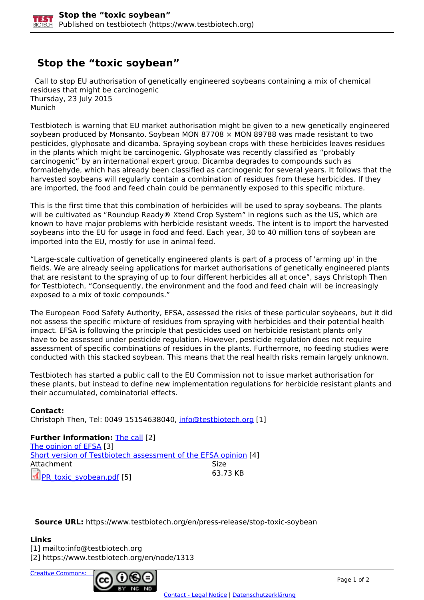## **Stop the "toxic soybean"**

 Call to stop EU authorisation of genetically engineered soybeans containing a mix of chemical residues that might be carcinogenic Thursday, 23 July 2015 Munich

Testbiotech is warning that EU market authorisation might be given to a new genetically engineered soybean produced by Monsanto. Soybean MON 87708  $\times$  MON 89788 was made resistant to two pesticides, glyphosate and dicamba. Spraying soybean crops with these herbicides leaves residues in the plants which might be carcinogenic. Glyphosate was recently classified as "probably carcinogenic" by an international expert group. Dicamba degrades to compounds such as formaldehyde, which has already been classified as carcinogenic for several years. It follows that the harvested soybeans will regularly contain a combination of residues from these herbicides. If they are imported, the food and feed chain could be permanently exposed to this specific mixture.

This is the first time that this combination of herbicides will be used to spray soybeans. The plants will be cultivated as "Roundup Ready® Xtend Crop System" in regions such as the US, which are known to have major problems with herbicide resistant weeds. The intent is to import the harvested soybeans into the EU for usage in food and feed. Each year, 30 to 40 million tons of soybean are imported into the EU, mostly for use in animal feed.

"Large-scale cultivation of genetically engineered plants is part of a process of 'arming up' in the fields. We are already seeing applications for market authorisations of genetically engineered plants that are resistant to the spraying of up to four different herbicides all at once", says Christoph Then for Testbiotech, "Consequently, the environment and the food and feed chain will be increasingly exposed to a mix of toxic compounds."

The European Food Safety Authority, EFSA, assessed the risks of these particular soybeans, but it did not assess the specific mixture of residues from spraying with herbicides and their potential health impact. EFSA is following the principle that pesticides used on herbicide resistant plants only have to be assessed under pesticide regulation. However, pesticide regulation does not require assessment of specific combinations of residues in the plants. Furthermore, no feeding studies were conducted with this stacked soybean. This means that the real health risks remain largely unknown.

Testbiotech has started a public call to the EU Commission not to issue market authorisation for these plants, but instead to define new implementation regulations for herbicide resistant plants and their accumulated, combinatorial effects.

**Contact:**  Christoph Then, Tel: 0049 15154638040, [info@testbiotech.org](mailto:info@testbiotech.org) [1]

**Further information: The call [2]** The opinion of EFSA [3] Short version of Testbiotech assessment of the EFSA opinion [4] Attachment Size PR\_toxic\_syobean.pdf [5] 63.73 KB

**Source URL:** https://www.testbiotech.org/en/press-release/stop-toxic-soybean

**Links**

[1] mailto:info@testbiotech.org

[2] https://www.testbiotech.org/en/node/1313